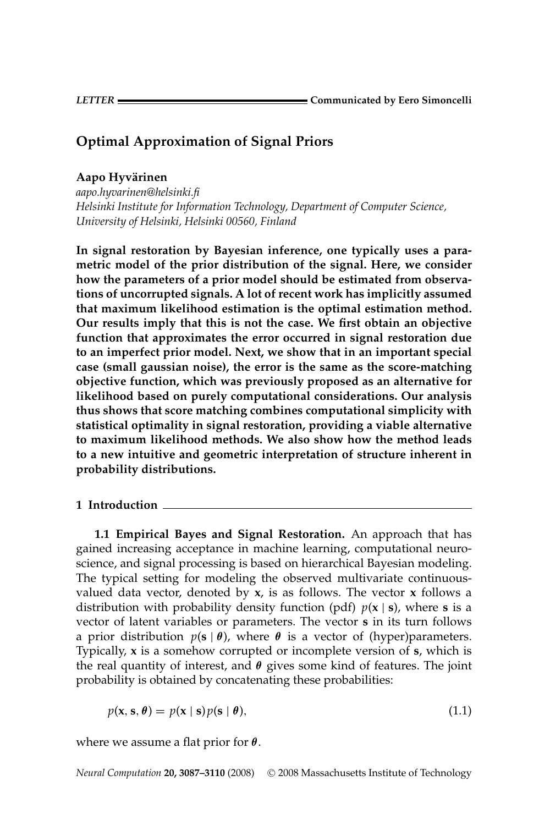# **Optimal Approximation of Signal Priors**

## **Aapo Hyvarinen ¨**

*aapo.hyvarinen@helsinki.fi Helsinki Institute for Information Technology, Department of Computer Science, University of Helsinki, Helsinki 00560, Finland*

**In signal restoration by Bayesian inference, one typically uses a parametric model of the prior distribution of the signal. Here, we consider how the parameters of a prior model should be estimated from observations of uncorrupted signals. A lot of recent work has implicitly assumed that maximum likelihood estimation is the optimal estimation method. Our results imply that this is not the case. We first obtain an objective function that approximates the error occurred in signal restoration due to an imperfect prior model. Next, we show that in an important special case (small gaussian noise), the error is the same as the score-matching objective function, which was previously proposed as an alternative for likelihood based on purely computational considerations. Our analysis thus shows that score matching combines computational simplicity with statistical optimality in signal restoration, providing a viable alternative to maximum likelihood methods. We also show how the method leads to a new intuitive and geometric interpretation of structure inherent in probability distributions.**

#### **1 Introduction**

**1.1 Empirical Bayes and Signal Restoration.** An approach that has gained increasing acceptance in machine learning, computational neuroscience, and signal processing is based on hierarchical Bayesian modeling. The typical setting for modeling the observed multivariate continuousvalued data vector, denoted by **x**, is as follows. The vector **x** follows a distribution with probability density function (pdf)  $p(x | s)$ , where **s** is a vector of latent variables or parameters. The vector **s** in its turn follows a prior distribution  $p(s | \theta)$ , where  $\theta$  is a vector of (hyper)parameters. Typically, **x** is a somehow corrupted or incomplete version of **s**, which is the real quantity of interest, and *θ* gives some kind of features. The joint probability is obtained by concatenating these probabilities:

$$
p(\mathbf{x}, \mathbf{s}, \boldsymbol{\theta}) = p(\mathbf{x} \mid \mathbf{s}) p(\mathbf{s} \mid \boldsymbol{\theta}), \tag{1.1}
$$

where we assume a flat prior for *θ*.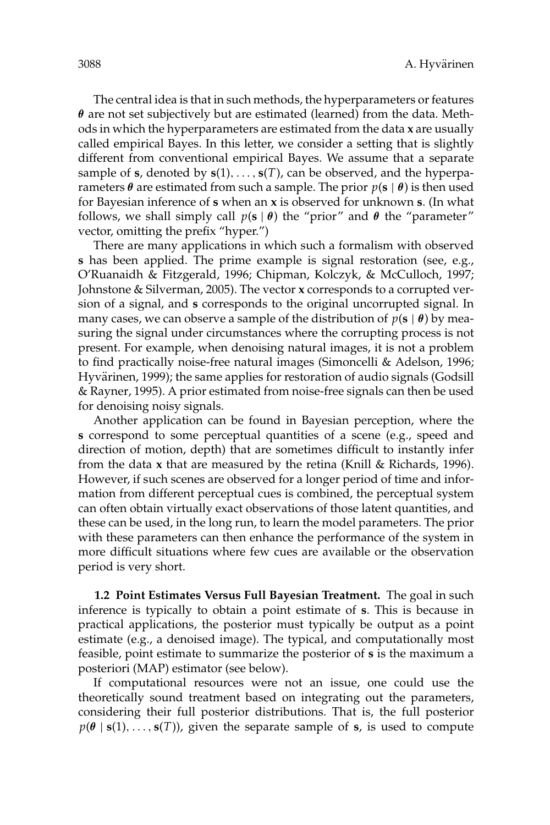The central idea is that in such methods, the hyperparameters or features *θ* are not set subjectively but are estimated (learned) from the data. Methods in which the hyperparameters are estimated from the data **x** are usually called empirical Bayes. In this letter, we consider a setting that is slightly different from conventional empirical Bayes. We assume that a separate sample of **s**, denoted by  $\mathbf{s}(1), \ldots, \mathbf{s}(T)$ , can be observed, and the hyperparameters  $\theta$  are estimated from such a sample. The prior  $p(s | \theta)$  is then used for Bayesian inference of **s** when an **x** is observed for unknown **s**. (In what follows, we shall simply call  $p(s | \theta)$  the "prior" and  $\theta$  the "parameter" vector, omitting the prefix "hyper.")

There are many applications in which such a formalism with observed **s** has been applied. The prime example is signal restoration (see, e.g., O'Ruanaidh & Fitzgerald, 1996; Chipman, Kolczyk, & McCulloch, 1997; Johnstone & Silverman, 2005). The vector **x** corresponds to a corrupted version of a signal, and **s** corresponds to the original uncorrupted signal. In many cases, we can observe a sample of the distribution of *p*(**s** | *θ*) by measuring the signal under circumstances where the corrupting process is not present. For example, when denoising natural images, it is not a problem to find practically noise-free natural images (Simoncelli & Adelson, 1996; Hyvärinen, 1999); the same applies for restoration of audio signals (Godsill & Rayner, 1995). A prior estimated from noise-free signals can then be used for denoising noisy signals.

Another application can be found in Bayesian perception, where the **s** correspond to some perceptual quantities of a scene (e.g., speed and direction of motion, depth) that are sometimes difficult to instantly infer from the data **x** that are measured by the retina (Knill & Richards, 1996). However, if such scenes are observed for a longer period of time and information from different perceptual cues is combined, the perceptual system can often obtain virtually exact observations of those latent quantities, and these can be used, in the long run, to learn the model parameters. The prior with these parameters can then enhance the performance of the system in more difficult situations where few cues are available or the observation period is very short.

**1.2 Point Estimates Versus Full Bayesian Treatment.** The goal in such inference is typically to obtain a point estimate of **s**. This is because in practical applications, the posterior must typically be output as a point estimate (e.g., a denoised image). The typical, and computationally most feasible, point estimate to summarize the posterior of **s** is the maximum a posteriori (MAP) estimator (see below).

If computational resources were not an issue, one could use the theoretically sound treatment based on integrating out the parameters, considering their full posterior distributions. That is, the full posterior  $p(\theta | s(1),..., s(T))$ , given the separate sample of **s**, is used to compute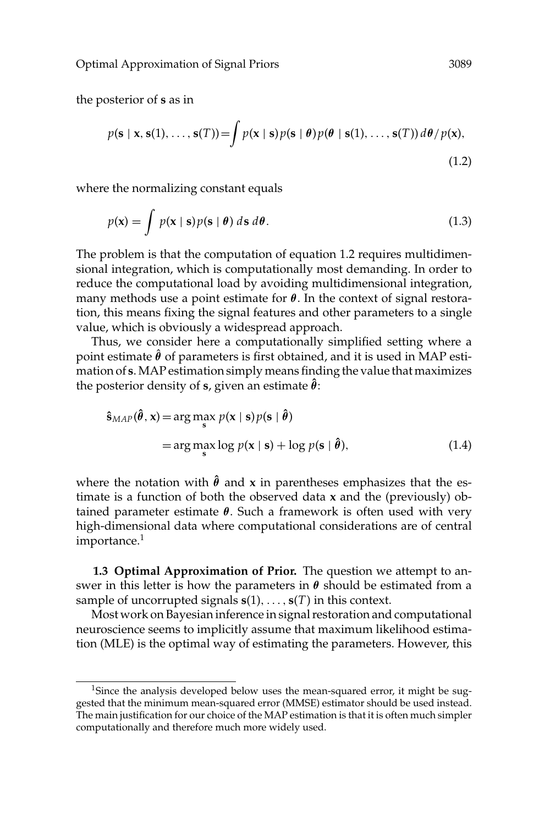the posterior of **s** as in

$$
p(\mathbf{s} \mid \mathbf{x}, \mathbf{s}(1), \dots, \mathbf{s}(T)) = \int p(\mathbf{x} \mid \mathbf{s}) p(\mathbf{s} \mid \boldsymbol{\theta}) p(\boldsymbol{\theta} \mid \mathbf{s}(1), \dots, \mathbf{s}(T)) d\boldsymbol{\theta} / p(\mathbf{x}),
$$
\n(1.2)

where the normalizing constant equals

$$
p(\mathbf{x}) = \int p(\mathbf{x} \mid \mathbf{s}) p(\mathbf{s} \mid \boldsymbol{\theta}) \, d\mathbf{s} \, d\boldsymbol{\theta}.
$$
 (1.3)

The problem is that the computation of equation 1.2 requires multidimensional integration, which is computationally most demanding. In order to reduce the computational load by avoiding multidimensional integration, many methods use a point estimate for *θ*. In the context of signal restoration, this means fixing the signal features and other parameters to a single value, which is obviously a widespread approach.

Thus, we consider here a computationally simplified setting where a point estimate  $\hat{\theta}$  of parameters is first obtained, and it is used in MAP estimation of **s**.MAP estimation simply means finding the value that maximizes the posterior density of **s**, given an estimate  $\hat{\theta}$ :

$$
\hat{\mathbf{s}}_{MAP}(\hat{\boldsymbol{\theta}}, \mathbf{x}) = \arg\max_{\mathbf{s}} p(\mathbf{x} \mid \mathbf{s}) p(\mathbf{s} \mid \hat{\boldsymbol{\theta}})
$$
  
= 
$$
\arg\max_{\mathbf{s}} \log p(\mathbf{x} \mid \mathbf{s}) + \log p(\mathbf{s} \mid \hat{\boldsymbol{\theta}}),
$$
 (1.4)

where the notation with  $\hat{\theta}$  and x in parentheses emphasizes that the estimate is a function of both the observed data **x** and the (previously) obtained parameter estimate *θ*. Such a framework is often used with very high-dimensional data where computational considerations are of central importance.<sup>1</sup>

**1.3 Optimal Approximation of Prior.** The question we attempt to answer in this letter is how the parameters in  $\theta$  should be estimated from a sample of uncorrupted signals  $\mathbf{s}(1),...,\mathbf{s}(T)$  in this context.

Most work on Bayesian inference in signal restoration and computational neuroscience seems to implicitly assume that maximum likelihood estimation (MLE) is the optimal way of estimating the parameters. However, this

<sup>&</sup>lt;sup>1</sup>Since the analysis developed below uses the mean-squared error, it might be suggested that the minimum mean-squared error (MMSE) estimator should be used instead. The main justification for our choice of the MAP estimation is that it is often much simpler computationally and therefore much more widely used.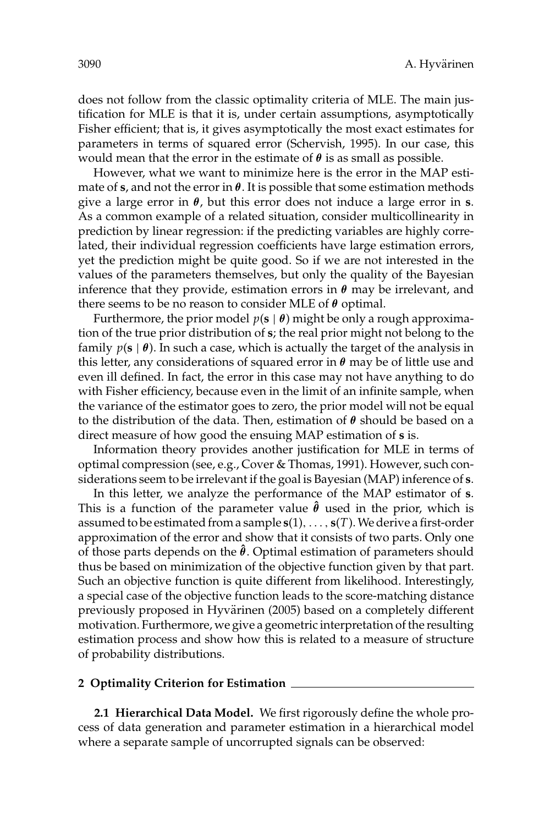does not follow from the classic optimality criteria of MLE. The main justification for MLE is that it is, under certain assumptions, asymptotically Fisher efficient; that is, it gives asymptotically the most exact estimates for parameters in terms of squared error (Schervish, 1995). In our case, this would mean that the error in the estimate of *θ* is as small as possible.

However, what we want to minimize here is the error in the MAP estimate of  $s$ , and not the error in  $\theta$ . It is possible that some estimation methods give a large error in *θ*, but this error does not induce a large error in **s**. As a common example of a related situation, consider multicollinearity in prediction by linear regression: if the predicting variables are highly correlated, their individual regression coefficients have large estimation errors, yet the prediction might be quite good. So if we are not interested in the values of the parameters themselves, but only the quality of the Bayesian inference that they provide, estimation errors in *θ* may be irrelevant, and there seems to be no reason to consider MLE of *θ* optimal.

Furthermore, the prior model *p*(**s** | *θ*) might be only a rough approximation of the true prior distribution of **s**; the real prior might not belong to the family *p*(**s** | *θ*). In such a case, which is actually the target of the analysis in this letter, any considerations of squared error in *θ* may be of little use and even ill defined. In fact, the error in this case may not have anything to do with Fisher efficiency, because even in the limit of an infinite sample, when the variance of the estimator goes to zero, the prior model will not be equal to the distribution of the data. Then, estimation of *θ* should be based on a direct measure of how good the ensuing MAP estimation of **s** is.

Information theory provides another justification for MLE in terms of optimal compression (see, e.g., Cover & Thomas, 1991). However, such considerations seem to be irrelevant if the goal is Bayesian (MAP) inference of **s**.

In this letter, we analyze the performance of the MAP estimator of **s**. This is a function of the parameter value  $\hat{\theta}$  used in the prior, which is assumed to be estimated from a sample **s**(1),..., **s**(*T*).We derive a first-order approximation of the error and show that it consists of two parts. Only one of those parts depends on the **ˆ** *θ*. Optimal estimation of parameters should thus be based on minimization of the objective function given by that part. Such an objective function is quite different from likelihood. Interestingly, a special case of the objective function leads to the score-matching distance previously proposed in Hyvärinen (2005) based on a completely different motivation. Furthermore, we give a geometric interpretation of the resulting estimation process and show how this is related to a measure of structure of probability distributions.

#### **2 Optimality Criterion for Estimation**

**2.1 Hierarchical Data Model.** We first rigorously define the whole process of data generation and parameter estimation in a hierarchical model where a separate sample of uncorrupted signals can be observed: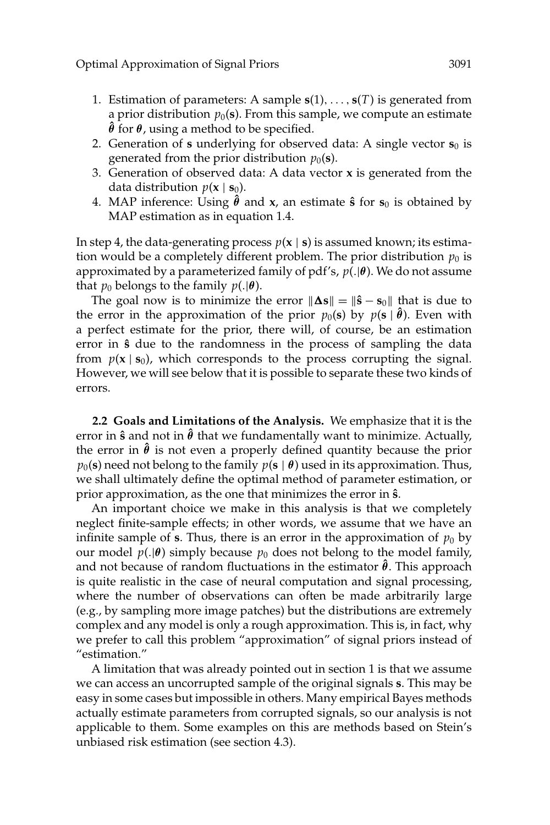- 1. Estimation of parameters: A sample **s**(1),..., **s**(*T*) is generated from a prior distribution  $p_0(s)$ . From this sample, we compute an estimate *θ* for *θ*, using a method to be specified.
- 2. Generation of **s** underlying for observed data: A single vector  $s_0$  is generated from the prior distribution  $p_0(\mathbf{s})$ .
- 3. Generation of observed data: A data vector **x** is generated from the data distribution  $p(x \mid s_0)$ .
- 4. MAP inference: Using  $\hat{\theta}$  and  $x$ , an estimate  $\hat{\mathbf{s}}$  for  $\mathbf{s}_0$  is obtained by MAP estimation as in equation 1.4.

In step 4, the data-generating process  $p(x | s)$  is assumed known; its estimation would be a completely different problem. The prior distribution  $p_0$  is approximated by a parameterized family of pdf's, *p*(.|*θ*). We do not assume that  $p_0$  belongs to the family  $p(.|\theta)$ .

The goal now is to minimize the error  $\|\mathbf{\Delta s}\| = \|\hat{\mathbf{s}} - \mathbf{s}_0\|$  that is due to the error in the approximation of the prior  $p_0(\mathbf{s})$  by  $p(\mathbf{s} \mid \hat{\boldsymbol{\theta}})$ . Even with a perfect estimate for the prior, there will, of course, be an estimation error in  $\hat{s}$  due to the randomness in the process of sampling the data from  $p(x | s_0)$ , which corresponds to the process corrupting the signal. However, we will see below that it is possible to separate these two kinds of errors.

**2.2 Goals and Limitations of the Analysis.** We emphasize that it is the error in **sˆ** and not in **ˆ** *θ* that we fundamentally want to minimize. Actually, the error in  $\hat{\theta}$  is not even a properly defined quantity because the prior  $p_0(\mathbf{s})$  need not belong to the family  $p(\mathbf{s} \mid \boldsymbol{\theta})$  used in its approximation. Thus, we shall ultimately define the optimal method of parameter estimation, or prior approximation, as the one that minimizes the error in **sˆ**.

An important choice we make in this analysis is that we completely neglect finite-sample effects; in other words, we assume that we have an infinite sample of **s**. Thus, there is an error in the approximation of  $p_0$  by our model  $p(.|\theta)$  simply because  $p_0$  does not belong to the model family, and not because of random fluctuations in the estimator  $\hat{\theta}$ . This approach is quite realistic in the case of neural computation and signal processing, where the number of observations can often be made arbitrarily large (e.g., by sampling more image patches) but the distributions are extremely complex and any model is only a rough approximation. This is, in fact, why we prefer to call this problem "approximation" of signal priors instead of "estimation."

A limitation that was already pointed out in section 1 is that we assume we can access an uncorrupted sample of the original signals **s**. This may be easy in some cases but impossible in others. Many empirical Bayes methods actually estimate parameters from corrupted signals, so our analysis is not applicable to them. Some examples on this are methods based on Stein's unbiased risk estimation (see section 4.3).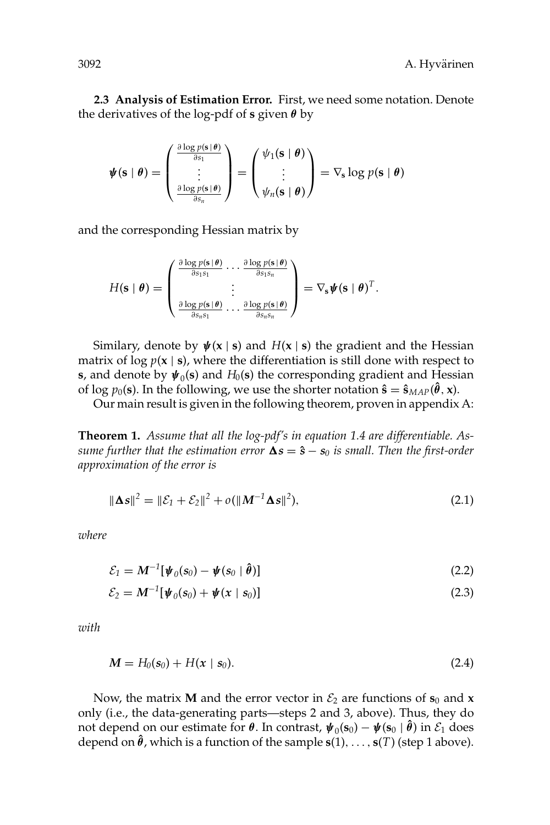**2.3 Analysis of Estimation Error.** First, we need some notation. Denote the derivatives of the log-pdf of **s** given *θ* by

$$
\boldsymbol{\psi}(\mathbf{s} \mid \boldsymbol{\theta}) = \begin{pmatrix} \frac{\partial \log p(\mathbf{s} \mid \boldsymbol{\theta})}{\partial s_1} \\ \vdots \\ \frac{\partial \log p(\mathbf{s} \mid \boldsymbol{\theta})}{\partial s_n} \end{pmatrix} = \begin{pmatrix} \psi_1(\mathbf{s} \mid \boldsymbol{\theta}) \\ \vdots \\ \psi_n(\mathbf{s} \mid \boldsymbol{\theta}) \end{pmatrix} = \nabla_{\mathbf{s}} \log p(\mathbf{s} \mid \boldsymbol{\theta})
$$

and the corresponding Hessian matrix by

$$
H(\mathbf{s} \mid \boldsymbol{\theta}) = \begin{pmatrix} \frac{\partial \log p(\mathbf{s} \mid \boldsymbol{\theta})}{\partial s_1 s_1} \cdots \frac{\partial \log p(\mathbf{s} \mid \boldsymbol{\theta})}{\partial s_1 s_n} \\ \vdots \\ \frac{\partial \log p(\mathbf{s} \mid \boldsymbol{\theta})}{\partial s_n s_1} \cdots \frac{\partial \log p(\mathbf{s} \mid \boldsymbol{\theta})}{\partial s_n s_n} \end{pmatrix} = \nabla_{\mathbf{s}} \boldsymbol{\psi}(\mathbf{s} \mid \boldsymbol{\theta})^T.
$$

Similary, denote by  $\psi(x \mid s)$  and  $H(x \mid s)$  the gradient and the Hessian matrix of  $\log p(x \mid s)$ , where the differentiation is still done with respect to **s**, and denote by  $\psi_0$ (**s**) and  $H_0$ (**s**) the corresponding gradient and Hessian of log  $p_0(\mathbf{s})$ . In the following, we use the shorter notation  $\hat{\mathbf{s}} = \hat{\mathbf{s}}_{MAP}(\hat{\boldsymbol{\theta}}, \mathbf{x})$ .

Our main result is given in the following theorem, proven in appendix A:

**Theorem 1.** *Assume that all the log-pdf's in equation 1.4 are differentiable. As* $s$ ume further that the estimation error  $\mathbf{\Delta s}=\mathbf{\hat{s}}-\mathbf{s}_0$  is small. Then the first-order *approximation of the error is*

$$
\|\mathbf{\Delta s}\|^2 = \|\mathcal{E}_1 + \mathcal{E}_2\|^2 + o(\|M^{-1}\mathbf{\Delta s}\|^2),\tag{2.1}
$$

*where*

$$
\mathcal{E}_1 = \mathbf{M}^{-1}[\boldsymbol{\psi}_0(\mathbf{s}_0) - \boldsymbol{\psi}(\mathbf{s}_0 \mid \hat{\boldsymbol{\theta}})] \tag{2.2}
$$

$$
\mathcal{E}_2 = M^{-1}[\psi_0(s_0) + \psi(x \mid s_0)] \tag{2.3}
$$

*with*

$$
M = H_0(s_0) + H(x \mid s_0). \tag{2.4}
$$

Now, the matrix **M** and the error vector in  $\mathcal{E}_2$  are functions of  $\mathbf{s}_0$  and **x** only (i.e., the data-generating parts—steps 2 and 3, above). Thus, they do not depend on our estimate for  $\theta$ . In contrast,  $\psi_0(\mathbf{s}_0) - \psi(\mathbf{s}_0 \mid \hat{\theta})$  in  $\mathcal{E}_1$  does depend on  $\hat{\theta}$ , which is a function of the sample  $s(1),...,s(T)$  (step 1 above).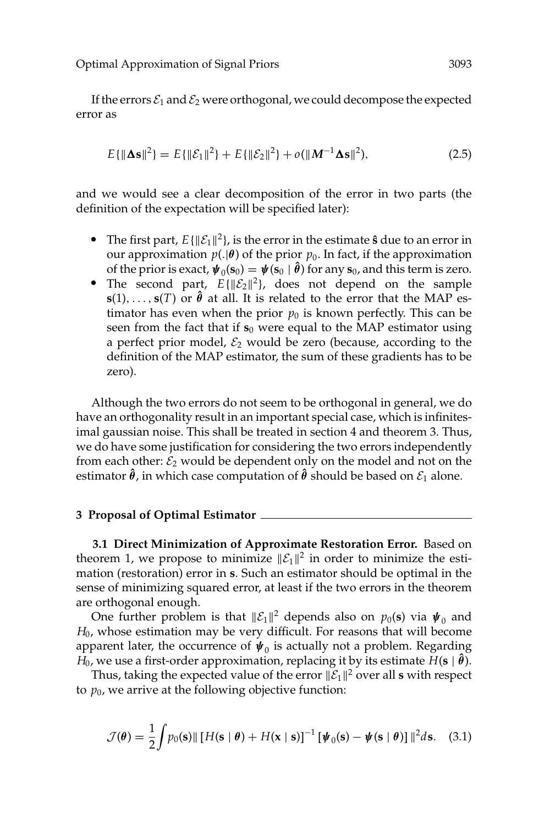If the errors  $\mathcal{E}_1$  and  $\mathcal{E}_2$  were orthogonal, we could decompose the expected error as

$$
E\{\|\mathbf{\Delta s}\|^2\} = E\{\|\mathcal{E}_1\|^2\} + E\{\|\mathcal{E}_2\|^2\} + o(\|M^{-1}\mathbf{\Delta s}\|^2),\tag{2.5}
$$

and we would see a clear decomposition of the error in two parts (the definition of the expectation will be specified later):

- The first part,  $E\{\|\mathcal{E}_1\|^2\}$ , is the error in the estimate **s** due to an error in our approximation  $p(.|\theta)$  of the prior  $p_0$ . In fact, if the approximation of the prior is exact,  $\psi_0(\mathbf{s}_0) = \psi(\mathbf{s}_0 | \hat{\theta})$  for any  $\mathbf{s}_0$ , and this term is zero.
- *e* of the prior is exact,  $\psi_0$ ( $\mathbf{s}_0$ ) =  $\psi$ ( $\mathbf{s}_0$  |  $\ddot{\theta}$ ) for any  $\mathbf{s}_0$ , and this term is zero.<br> **P** The second part,  $E\{\|\mathcal{E}_2\|^2\}$ , does not depend on the sample **s**(1), ..., **s**(*T*) or  $\hat{\theta}$  at all. It is related to the error that the MAP estimator has even when the prior  $p_0$  is known perfectly. This can be seen from the fact that if  $s_0$  were equal to the MAP estimator using a perfect prior model,  $\mathcal{E}_2$  would be zero (because, according to the definition of the MAP estimator, the sum of these gradients has to be zero).

Although the two errors do not seem to be orthogonal in general, we do have an orthogonality result in an important special case, which is infinitesimal gaussian noise. This shall be treated in section 4 and theorem 3. Thus, we do have some justification for considering the two errors independently from each other:  $\mathcal{E}_2$  would be dependent only on the model and not on the estimator  $\hat{\theta}$ , in which case computation of  $\hat{\theta}$  should be based on  $\mathcal{E}_1$  alone.

# **3 Proposal of Optimal Estimator**

**3.1 Direct Minimization of Approximate Restoration Error.** Based on theorem 1, we propose to minimize  $||\mathcal{E}_1||^2$  in order to minimize the estimation (restoration) error in **s**. Such an estimator should be optimal in the sense of minimizing squared error, at least if the two errors in the theorem are orthogonal enough.

One further problem is that  $||\mathcal{E}_1||^2$  depends also on  $p_0(\mathbf{s})$  via  $\boldsymbol{\psi}_0$  and *H*0, whose estimation may be very difficult. For reasons that will become apparent later, the occurrence of  $\psi_0$  is actually not a problem. Regarding  $\hat{H_0}$ , we use a first-order approximation, replacing it by its estimate  $\hat{H}(\mathbf{s} \mid \hat{\pmb{\theta}}).$ 

Thus, taking the expected value of the error  $\|\mathcal{E}_1\|^2$  over all s with respect to  $p_0$ , we arrive at the following objective function:

$$
\mathcal{J}(\boldsymbol{\theta}) = \frac{1}{2} \int p_0(\mathbf{s}) || [H(\mathbf{s} \mid \boldsymbol{\theta}) + H(\mathbf{x} \mid \mathbf{s})]^{-1} [\boldsymbol{\psi}_0(\mathbf{s}) - \boldsymbol{\psi}(\mathbf{s} \mid \boldsymbol{\theta})] ||^2 d\mathbf{s}.
$$
 (3.1)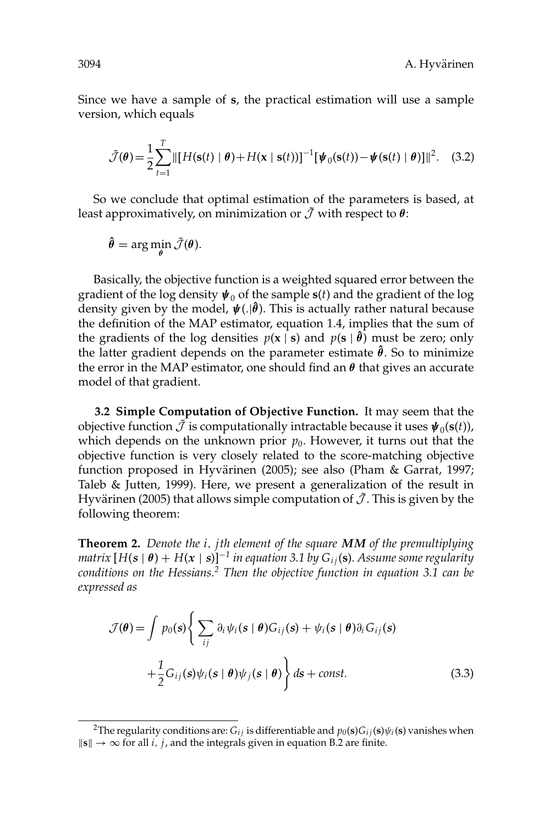Since we have a sample of **s**, the practical estimation will use a sample version, which equals

$$
\tilde{\mathcal{J}}(\boldsymbol{\theta}) = \frac{1}{2} \sum_{t=1}^{T} ||[H(\mathbf{s}(t) \mid \boldsymbol{\theta}) + H(\mathbf{x} \mid \mathbf{s}(t))]^{-1} [\boldsymbol{\psi}_0(\mathbf{s}(t)) - \boldsymbol{\psi}(\mathbf{s}(t) \mid \boldsymbol{\theta})]||^2. \quad (3.2)
$$

So we conclude that optimal estimation of the parameters is based, at least approximatively, on minimization or  $\tilde{\mathcal{J}}$  with respect to  $\theta$ :

$$
\hat{\boldsymbol{\theta}} = \arg\min_{\boldsymbol{\theta}} \tilde{\mathcal{J}}(\boldsymbol{\theta}).
$$

Basically, the objective function is a weighted squared error between the gradient of the log density  $\psi_0$  of the sample  $s(t)$  and the gradient of the log density given by the model, *ψ*(.|**ˆ** *θ*). This is actually rather natural because the definition of the MAP estimator, equation 1.4, implies that the sum of the gradients of the log densities  $p(x | s)$  and  $p(s | \hat{\theta})$  must be zero; only the latter gradient depends on the parameter estimate **ˆ** *θ*. So to minimize the error in the MAP estimator, one should find an *θ* that gives an accurate model of that gradient.

**3.2 Simple Computation of Objective Function.** It may seem that the objective function  $\tilde{\mathcal{J}}$  is computationally intractable because it uses  $\psi_0(\mathbf{s}(t))$ , which depends on the unknown prior  $p_0$ . However, it turns out that the objective function is very closely related to the score-matching objective function proposed in Hyvärinen (2005); see also (Pham & Garrat, 1997; Taleb & Jutten, 1999). Here, we present a generalization of the result in Hyvärinen (2005) that allows simple computation of  $\tilde{\mathcal{J}}$ . This is given by the following theorem:

**Theorem 2.** *Denote the i*, *j th element of the square MM of the premultiplying matrix*  $[H(s | \theta) + H(x | s)]^{-1}$  *in equation 3.1 by*  $G_{ii}$ (*s*)*. Assume some regularity conditions on the Hessians.<sup>2</sup> Then the objective function in equation 3.1 can be expressed as*

$$
\mathcal{J}(\theta) = \int p_0(s) \left\{ \sum_{ij} \partial_i \psi_i(s \mid \theta) G_{ij}(s) + \psi_i(s \mid \theta) \partial_i G_{ij}(s) + \frac{1}{2} G_{ij}(s) \psi_i(s \mid \theta) \psi_j(s \mid \theta) \right\} ds + const.
$$
\n(3.3)

<sup>&</sup>lt;sup>2</sup>The regularity conditions are:  $G_{ij}$  is differentiable and  $p_0(\mathbf{s})G_{ij}(\mathbf{s})\psi_i(\mathbf{s})$  vanishes when  $\|\mathbf{s}\|$  →  $\infty$  for all *i*, *j*, and the integrals given in equation B.2 are finite.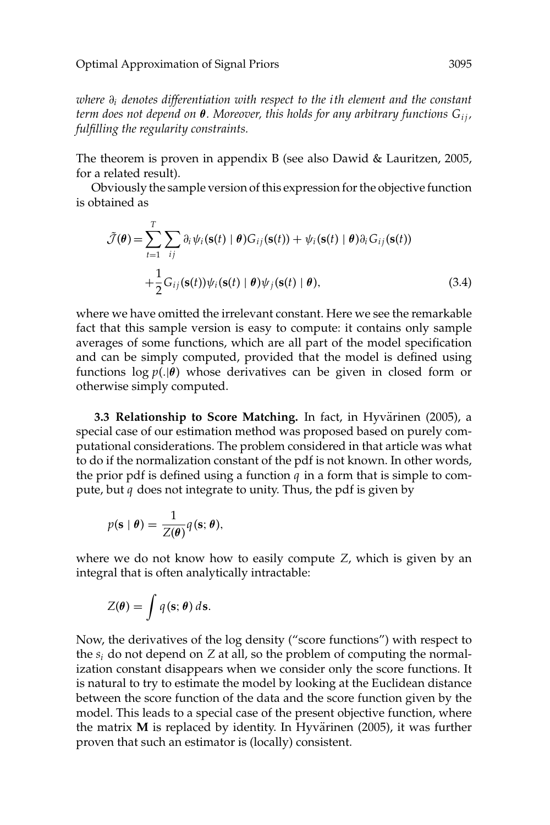*where* ∂*<sup>i</sup> denotes differentiation with respect to the i th element and the constant term does not depend on* **θ***. Moreover, this holds for any arbitrary functions G<sub>ij</sub>, fulfilling the regularity constraints.*

The theorem is proven in appendix B (see also Dawid & Lauritzen, 2005, for a related result).

Obviously the sample version of this expression for the objective function is obtained as

$$
\tilde{\mathcal{J}}(\theta) = \sum_{t=1}^{T} \sum_{ij} \partial_i \psi_i(\mathbf{s}(t) | \theta) G_{ij}(\mathbf{s}(t)) + \psi_i(\mathbf{s}(t) | \theta) \partial_i G_{ij}(\mathbf{s}(t)) \n+ \frac{1}{2} G_{ij}(\mathbf{s}(t)) \psi_i(\mathbf{s}(t) | \theta) \psi_j(\mathbf{s}(t) | \theta),
$$
\n(3.4)

where we have omitted the irrelevant constant. Here we see the remarkable fact that this sample version is easy to compute: it contains only sample averages of some functions, which are all part of the model specification and can be simply computed, provided that the model is defined using functions log *p*(.|*θ*) whose derivatives can be given in closed form or otherwise simply computed.

**3.3 Relationship to Score Matching.** In fact, in Hyvärinen (2005), a special case of our estimation method was proposed based on purely computational considerations. The problem considered in that article was what to do if the normalization constant of the pdf is not known. In other words, the prior pdf is defined using a function  $q$  in a form that is simple to compute, but *q* does not integrate to unity. Thus, the pdf is given by

$$
p(\mathbf{s} \mid \boldsymbol{\theta}) = \frac{1}{Z(\boldsymbol{\theta})} q(\mathbf{s}; \boldsymbol{\theta}),
$$

where we do not know how to easily compute *Z*, which is given by an integral that is often analytically intractable:

$$
Z(\boldsymbol{\theta}) = \int q(\mathbf{s}; \boldsymbol{\theta}) \, d\mathbf{s}.
$$

Now, the derivatives of the log density ("score functions") with respect to the *si* do not depend on *Z* at all, so the problem of computing the normalization constant disappears when we consider only the score functions. It is natural to try to estimate the model by looking at the Euclidean distance between the score function of the data and the score function given by the model. This leads to a special case of the present objective function, where the matrix  $M$  is replaced by identity. In Hyvärinen (2005), it was further proven that such an estimator is (locally) consistent.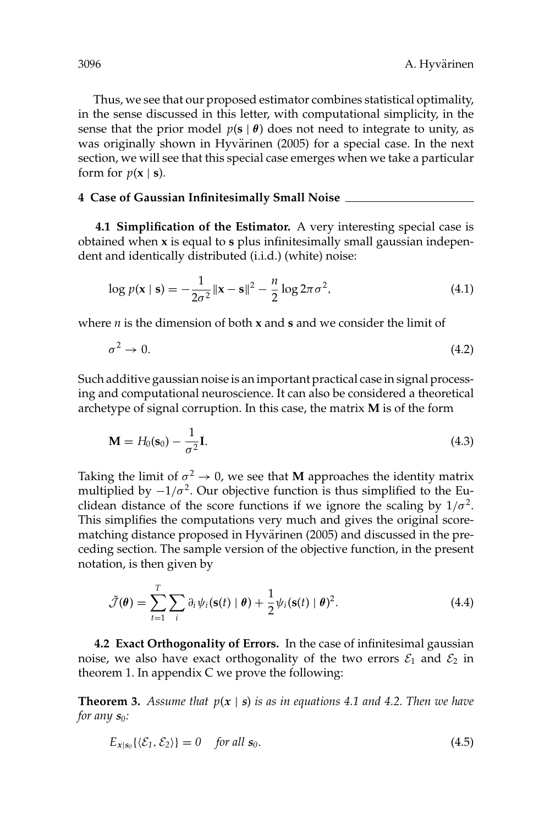Thus, we see that our proposed estimator combines statistical optimality, in the sense discussed in this letter, with computational simplicity, in the sense that the prior model  $p(s | \theta)$  does not need to integrate to unity, as was originally shown in Hyvärinen (2005) for a special case. In the next section, we will see that this special case emerges when we take a particular form for  $p(x | s)$ .

## **4 Case of Gaussian Infinitesimally Small Noise**

**4.1 Simplification of the Estimator.** A very interesting special case is obtained when **x** is equal to **s** plus infinitesimally small gaussian independent and identically distributed (i.i.d.) (white) noise:

$$
\log p(\mathbf{x} \mid \mathbf{s}) = -\frac{1}{2\sigma^2} ||\mathbf{x} - \mathbf{s}||^2 - \frac{n}{2} \log 2\pi \sigma^2,
$$
\n(4.1)

where *n* is the dimension of both **x** and **s** and we consider the limit of

$$
\sigma^2 \to 0. \tag{4.2}
$$

Such additive gaussian noise is an important practical case in signal processing and computational neuroscience. It can also be considered a theoretical archetype of signal corruption. In this case, the matrix **M** is of the form

$$
\mathbf{M} = H_0(\mathbf{s}_0) - \frac{1}{\sigma^2} \mathbf{I}.
$$
 (4.3)

Taking the limit of  $\sigma^2 \rightarrow 0$ , we see that **M** approaches the identity matrix multiplied by  $-1/\sigma^2$ . Our objective function is thus simplified to the Euclidean distance of the score functions if we ignore the scaling by  $1/\sigma^2$ . This simplifies the computations very much and gives the original scorematching distance proposed in Hyvärinen (2005) and discussed in the preceding section. The sample version of the objective function, in the present notation, is then given by

$$
\tilde{\mathcal{J}}(\boldsymbol{\theta}) = \sum_{t=1}^{T} \sum_{i} \partial_{i} \psi_{i} (\mathbf{s}(t) \mid \boldsymbol{\theta}) + \frac{1}{2} \psi_{i} (\mathbf{s}(t) \mid \boldsymbol{\theta})^{2}.
$$
 (4.4)

**4.2 Exact Orthogonality of Errors.** In the case of infinitesimal gaussian noise, we also have exact orthogonality of the two errors  $\mathcal{E}_1$  and  $\mathcal{E}_2$  in theorem 1. In appendix C we prove the following:

**Theorem 3.** *Assume that*  $p(x | s)$  *is as in equations 4.1 and 4.2. Then we have for any s0:*

$$
E_{x|s_0}\{\langle \mathcal{E}_1, \mathcal{E}_2 \rangle\} = 0 \quad \text{for all } s_0. \tag{4.5}
$$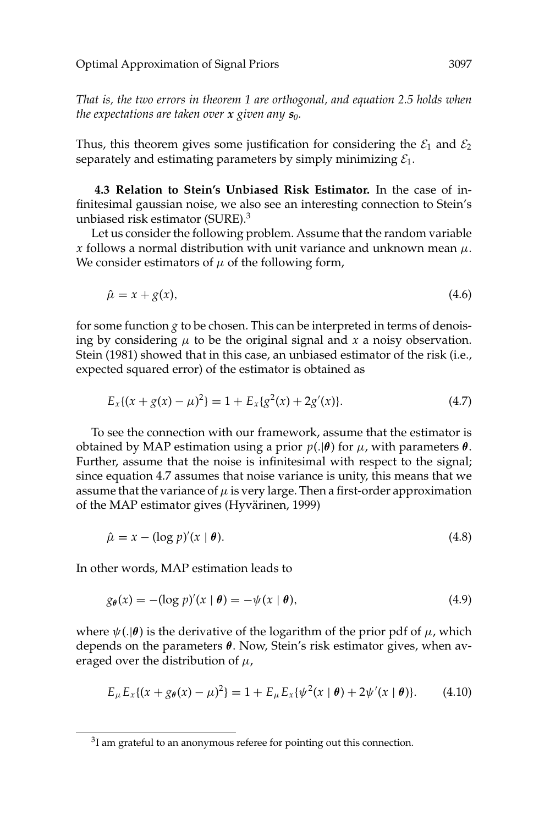*That is, the two errors in theorem 1 are orthogonal, and equation 2.5 holds when the expectations are taken over x given any s0.*

Thus, this theorem gives some justification for considering the  $\mathcal{E}_1$  and  $\mathcal{E}_2$ separately and estimating parameters by simply minimizing  $\mathcal{E}_1$ .

**4.3 Relation to Stein's Unbiased Risk Estimator.** In the case of infinitesimal gaussian noise, we also see an interesting connection to Stein's unbiased risk estimator (SURE).3

Let us consider the following problem. Assume that the random variable *x* follows a normal distribution with unit variance and unknown mean  $\mu$ . We consider estimators of  $\mu$  of the following form,

$$
\hat{\mu} = x + g(x),\tag{4.6}
$$

for some function *g* to be chosen. This can be interpreted in terms of denoising by considering  $\mu$  to be the original signal and  $x$  a noisy observation. Stein (1981) showed that in this case, an unbiased estimator of the risk (i.e., expected squared error) of the estimator is obtained as

$$
E_x\{(x+g(x)-\mu)^2\} = 1 + E_x\{g^2(x) + 2g'(x)\}.
$$
 (4.7)

To see the connection with our framework, assume that the estimator is obtained by MAP estimation using a prior *p*(.|*θ*) for µ, with parameters *θ*. Further, assume that the noise is infinitesimal with respect to the signal; since equation 4.7 assumes that noise variance is unity, this means that we assume that the variance of  $\mu$  is very large. Then a first-order approximation of the MAP estimator gives (Hyvärinen, 1999)

$$
\hat{\mu} = x - (\log p)'(x \mid \boldsymbol{\theta}). \tag{4.8}
$$

In other words, MAP estimation leads to

$$
g_{\theta}(x) = -(\log p)'(x \mid \theta) = -\psi(x \mid \theta), \tag{4.9}
$$

where  $\psi(.|\theta)$  is the derivative of the logarithm of the prior pdf of  $\mu$ , which depends on the parameters *θ*. Now, Stein's risk estimator gives, when averaged over the distribution of  $\mu$ ,

$$
E_{\mu}E_{x}\{(x+g_{\theta}(x)-\mu)^{2}\}=1+E_{\mu}E_{x}\{\psi^{2}(x\mid\theta)+2\psi'(x\mid\theta)\}.
$$
 (4.10)

<sup>&</sup>lt;sup>3</sup>I am grateful to an anonymous referee for pointing out this connection.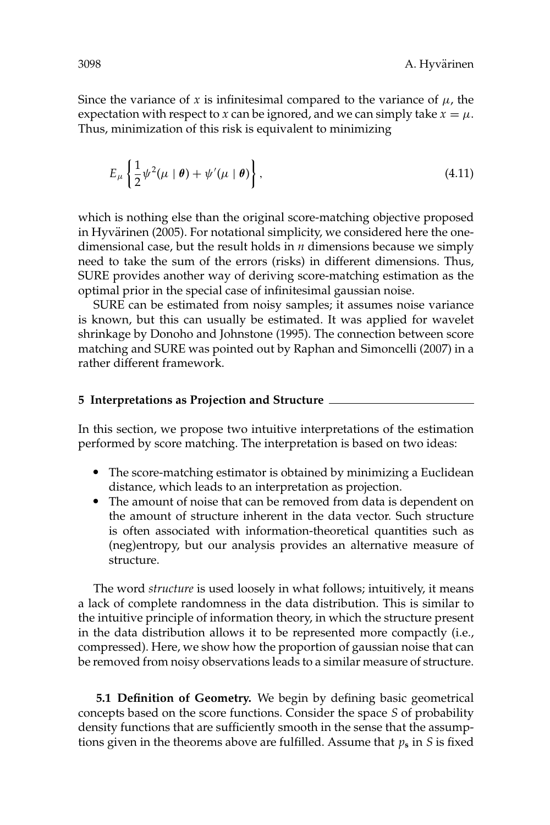Since the variance of *x* is infinitesimal compared to the variance of  $\mu$ , the expectation with respect to *x* can be ignored, and we can simply take  $x = \mu$ . Thus, minimization of this risk is equivalent to minimizing

$$
E_{\mu}\left\{\frac{1}{2}\psi^{2}(\mu\mid\boldsymbol{\theta})+\psi'(\mu\mid\boldsymbol{\theta})\right\},\tag{4.11}
$$

which is nothing else than the original score-matching objective proposed in Hyvärinen (2005). For notational simplicity, we considered here the onedimensional case, but the result holds in *n* dimensions because we simply need to take the sum of the errors (risks) in different dimensions. Thus, SURE provides another way of deriving score-matching estimation as the optimal prior in the special case of infinitesimal gaussian noise.

SURE can be estimated from noisy samples; it assumes noise variance is known, but this can usually be estimated. It was applied for wavelet shrinkage by Donoho and Johnstone (1995). The connection between score matching and SURE was pointed out by Raphan and Simoncelli (2007) in a rather different framework.

## **5 Interpretations as Projection and Structure**

In this section, we propose two intuitive interpretations of the estimation performed by score matching. The interpretation is based on two ideas:

- The score-matching estimator is obtained by minimizing a Euclidean distance, which leads to an interpretation as projection.<br>
• The amount of noise that can be removed from data is dependent on
- the amount of structure inherent in the data vector. Such structure is often associated with information-theoretical quantities such as (neg)entropy, but our analysis provides an alternative measure of structure.

The word *structure* is used loosely in what follows; intuitively, it means a lack of complete randomness in the data distribution. This is similar to the intuitive principle of information theory, in which the structure present in the data distribution allows it to be represented more compactly (i.e., compressed). Here, we show how the proportion of gaussian noise that can be removed from noisy observations leads to a similar measure of structure.

**5.1 Definition of Geometry.** We begin by defining basic geometrical concepts based on the score functions. Consider the space *S* of probability density functions that are sufficiently smooth in the sense that the assumptions given in the theorems above are fulfilled. Assume that *p***<sup>s</sup>** in *S* is fixed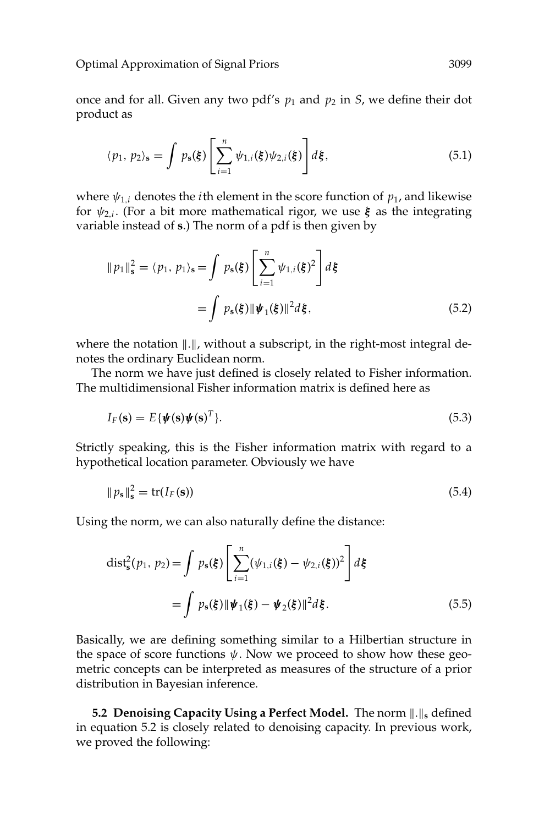once and for all. Given any two pdf's  $p_1$  and  $p_2$  in *S*, we define their dot product as

$$
\langle p_1, p_2 \rangle_s = \int p_s(\xi) \left[ \sum_{i=1}^n \psi_{1,i}(\xi) \psi_{2,i}(\xi) \right] d\xi, \tag{5.1}
$$

where  $\psi_{1,i}$  denotes the *i*th element in the score function of  $p_1$ , and likewise for  $\psi_{2,i}$ . (For a bit more mathematical rigor, we use  $\xi$  as the integrating variable instead of **s**.) The norm of a pdf is then given by

$$
||p_1||_s^2 = \langle p_1, p_1 \rangle_s = \int p_s(\xi) \left[ \sum_{i=1}^n \psi_{1,i}(\xi)^2 \right] d\xi
$$

$$
= \int p_s(\xi) ||\psi_1(\xi)||^2 d\xi, \tag{5.2}
$$

where the notation  $\|.\|$ , without a subscript, in the right-most integral denotes the ordinary Euclidean norm.

The norm we have just defined is closely related to Fisher information. The multidimensional Fisher information matrix is defined here as

$$
I_F(\mathbf{s}) = E\{\boldsymbol{\psi}(\mathbf{s})\boldsymbol{\psi}(\mathbf{s})^T\}.
$$
\n(5.3)

Strictly speaking, this is the Fisher information matrix with regard to a hypothetical location parameter. Obviously we have

$$
||p_{\mathbf{s}}||_{\mathbf{s}}^2 = \text{tr}(I_F(\mathbf{s})) \tag{5.4}
$$

Using the norm, we can also naturally define the distance:

$$
\text{dist}_{s}^{2}(p_{1}, p_{2}) = \int p_{s}(\xi) \left[ \sum_{i=1}^{n} (\psi_{1,i}(\xi) - \psi_{2,i}(\xi))^{2} \right] d\xi
$$

$$
= \int p_{s}(\xi) || \psi_{1}(\xi) - \psi_{2}(\xi) ||^{2} d\xi. \tag{5.5}
$$

Basically, we are defining something similar to a Hilbertian structure in the space of score functions  $\psi$ . Now we proceed to show how these geometric concepts can be interpreted as measures of the structure of a prior distribution in Bayesian inference.

**5.2 Denoising Capacity Using a Perfect Model.** The norm  $\|.\|_s$  defined in equation 5.2 is closely related to denoising capacity. In previous work, we proved the following: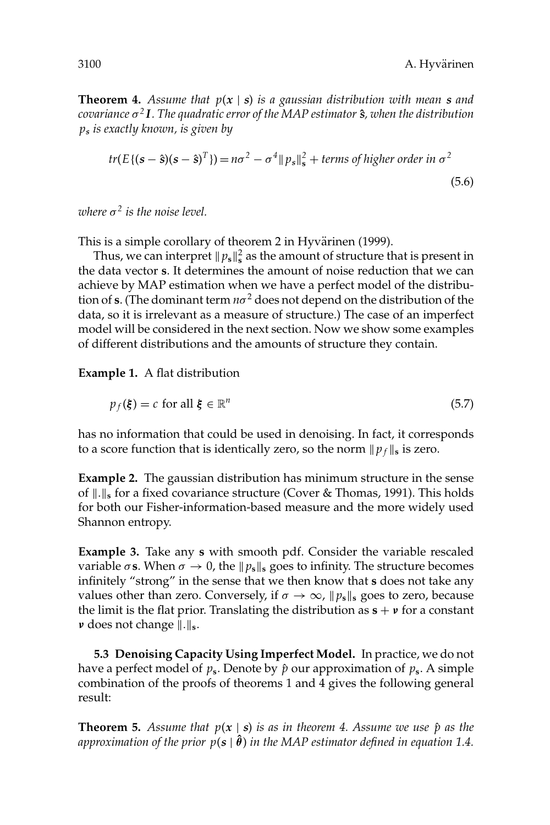**Theorem 4.** *Assume that p*(*x* | *s*) *is a gaussian distribution with mean s and covariance* σ*<sup>2</sup> I. The quadratic error of the MAP estimator s***ˆ***, when the distribution p<sup>s</sup> is exactly known, is given by*

$$
tr(E\{(\mathbf{s}-\hat{\mathbf{s}})(\mathbf{s}-\hat{\mathbf{s}})^{\mathrm{T}}\}) = n\sigma^2 - \sigma^4 \|p_s\|_{\mathbf{s}}^2 + \text{terms of higher order in } \sigma^2
$$
\n
$$
(5.6)
$$

*where*  $\sigma^2$  *is the noise level.* 

This is a simple corollary of theorem 2 in Hyvärinen (1999).

Thus, we can interpret  $\|p_{s}\|_{s}^{2}$  as the amount of structure that is present in the data vector **s**. It determines the amount of noise reduction that we can achieve by MAP estimation when we have a perfect model of the distribution of **s**. (The dominant term  $n\sigma^2$  does not depend on the distribution of the data, so it is irrelevant as a measure of structure.) The case of an imperfect model will be considered in the next section. Now we show some examples of different distributions and the amounts of structure they contain.

**Example 1.** A flat distribution

$$
p_f(\xi) = c \text{ for all } \xi \in \mathbb{R}^n \tag{5.7}
$$

has no information that could be used in denoising. In fact, it corresponds to a score function that is identically zero, so the norm  $\|p_f\|_s$  is zero.

**Example 2.** The gaussian distribution has minimum structure in the sense of  $\|.\|$ <sub>s</sub> for a fixed covariance structure (Cover & Thomas, 1991). This holds for both our Fisher-information-based measure and the more widely used Shannon entropy.

**Example 3.** Take any **s** with smooth pdf. Consider the variable rescaled variable  $\sigma$ **s**. When  $\sigma \to 0$ , the  $\|\rho_{s}\|_{s}$  goes to infinity. The structure becomes infinitely "strong" in the sense that we then know that **s** does not take any values other than zero. Conversely, if  $\sigma \to \infty$ ,  $\|p_{\mathbf{s}}\|_{\mathbf{s}}$  goes to zero, because the limit is the flat prior. Translating the distribution as  $\mathbf{s} + \mathbf{v}$  for a constant *ν* does not change  $\|.\|$ <sub>s</sub>.

**5.3 Denoising Capacity Using Imperfect Model.** In practice, we do not have a perfect model of  $p_s$ . Denote by  $\hat{p}$  our approximation of  $p_s$ . A simple combination of the proofs of theorems 1 and 4 gives the following general result:

**Theorem 5.** Assume that  $p(x | s)$  is as in theorem 4. Assume we use  $\hat{p}$  as the approximation of the prior  $p(\mathbf{s} \mid \hat{\boldsymbol{\theta}})$  in the MAP estimator defined in equation 1.4.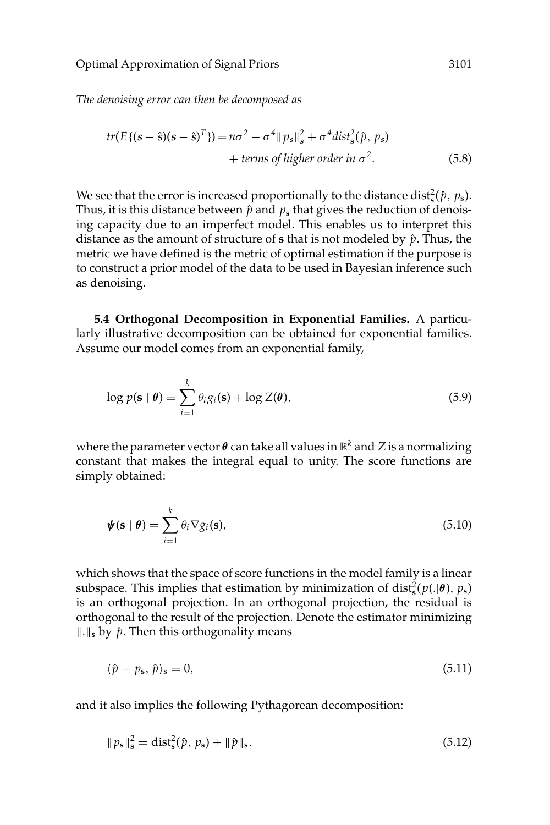*The denoising error can then be decomposed as*

$$
tr(E\{(\mathbf{s}-\hat{\mathbf{s}})(\mathbf{s}-\hat{\mathbf{s}})^T\}) = n\sigma^2 - \sigma^4 \|p_s\|_{\mathbf{s}}^2 + \sigma^4 \text{dist}_{\mathbf{s}}^2(\hat{p}, p_s)
$$
  
+ terms of higher order in  $\sigma^2$ . (5.8)

We see that the error is increased proportionally to the distance dist $\frac{2}{s}(\hat{p}, p_s)$ . Thus, it is this distance between  $\hat{p}$  and  $p_s$  that gives the reduction of denoising capacity due to an imperfect model. This enables us to interpret this distance as the amount of structure of  $s$  that is not modeled by  $\hat{p}$ . Thus, the metric we have defined is the metric of optimal estimation if the purpose is to construct a prior model of the data to be used in Bayesian inference such as denoising.

**5.4 Orthogonal Decomposition in Exponential Families.** A particularly illustrative decomposition can be obtained for exponential families. Assume our model comes from an exponential family,

$$
\log p(\mathbf{s} \mid \boldsymbol{\theta}) = \sum_{i=1}^{k} \theta_i g_i(\mathbf{s}) + \log Z(\boldsymbol{\theta}), \tag{5.9}
$$

where the parameter vector  $\theta$  can take all values in  $\mathbb{R}^k$  and Z is a normalizing constant that makes the integral equal to unity. The score functions are simply obtained:

$$
\boldsymbol{\psi}(\mathbf{s} \mid \boldsymbol{\theta}) = \sum_{i=1}^{k} \theta_i \nabla g_i(\mathbf{s}), \qquad (5.10)
$$

which shows that the space of score functions in the model family is a linear subspace. This implies that estimation by minimization of dist<sup>2</sup><sub>s</sub> $(p(.|\theta), p_s)$ is an orthogonal projection. In an orthogonal projection, the residual is orthogonal to the result of the projection. Denote the estimator minimizing  $\| \cdot \|_s$  by  $\hat{p}$ . Then this orthogonality means

$$
\langle \hat{p} - p_s, \hat{p} \rangle_s = 0,\tag{5.11}
$$

and it also implies the following Pythagorean decomposition:

$$
||p_s||_s^2 = \text{dist}_s^2(\hat{p}, p_s) + ||\hat{p}||_s. \tag{5.12}
$$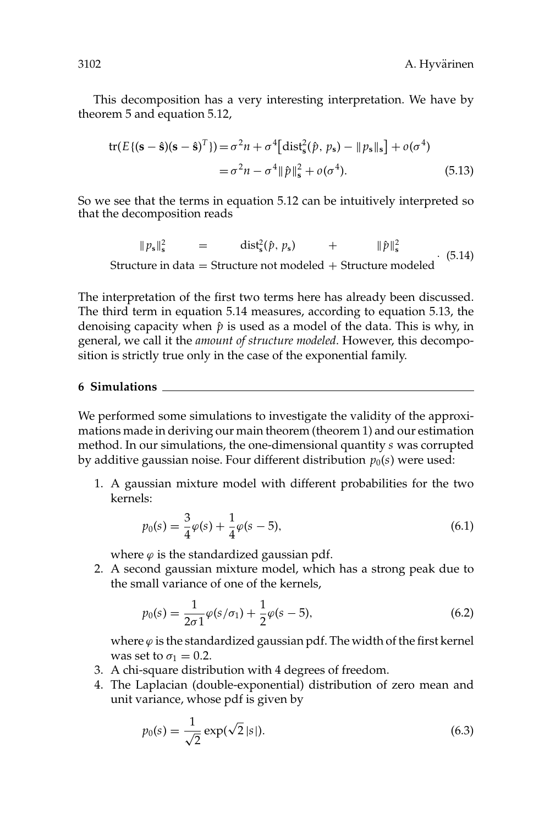This decomposition has a very interesting interpretation. We have by theorem 5 and equation 5.12,

$$
\text{tr}(E\{(\mathbf{s}-\hat{\mathbf{s}})(\mathbf{s}-\hat{\mathbf{s}})^T\}) = \sigma^2 n + \sigma^4 \left[\text{dist}_{\hat{\mathbf{s}}}^2(\hat{p}, p_{\mathbf{s}}) - \|p_{\mathbf{s}}\|_{\mathbf{s}}\right] + o(\sigma^4) \n= \sigma^2 n - \sigma^4 \|\hat{p}\|_{\hat{\mathbf{s}}}^2 + o(\sigma^4).
$$
\n(5.13)

So we see that the terms in equation 5.12 can be intuitively interpreted so that the decomposition reads

 $||p_s||_s^2$  = dist<sub>s</sub><sup>2</sup>( $\hat{p}, p_s$ ) + ||  $\hat{p}$   $\parallel_{\mathbf{s}}^2$ <sup>If Ps</sup> Is  $\overline{p}$  and  $\overline{s}$  if  $\overline{p}$  is  $\overline{s}$  if  $\overline{p}$  if  $\overline{s}$  if  $\overline{s}$  if  $\overline{s}$  if  $\overline{s}$  if  $\overline{s}$  if  $\overline{s}$  if  $\overline{s}$  if  $\overline{s}$  if  $\overline{s}$  if  $\overline{s}$  if  $\overline{s}$  if  $\overline{s}$  if  $\overline{s}$  if  $\overline{s}$ 

The interpretation of the first two terms here has already been discussed. The third term in equation 5.14 measures, according to equation 5.13, the denoising capacity when  $\hat{p}$  is used as a model of the data. This is why, in general, we call it the *amount of structure modeled*. However, this decomposition is strictly true only in the case of the exponential family.

#### **6 Simulations**

We performed some simulations to investigate the validity of the approximations made in deriving our main theorem (theorem 1) and our estimation method. In our simulations, the one-dimensional quantity *s* was corrupted by additive gaussian noise. Four different distribution  $p_0(s)$  were used:

1. A gaussian mixture model with different probabilities for the two kernels:

$$
p_0(s) = \frac{3}{4}\varphi(s) + \frac{1}{4}\varphi(s-5),\tag{6.1}
$$

where  $\varphi$  is the standardized gaussian pdf.

2. A second gaussian mixture model, which has a strong peak due to the small variance of one of the kernels,

$$
p_0(s) = \frac{1}{2\sigma 1} \varphi(s/\sigma_1) + \frac{1}{2} \varphi(s-5),
$$
\n(6.2)

where  $\varphi$  is the standardized gaussian pdf. The width of the first kernel was set to  $\sigma_1 = 0.2$ .

- 3. A chi-square distribution with 4 degrees of freedom.
- 4. The Laplacian (double-exponential) distribution of zero mean and unit variance, whose pdf is given by

$$
p_0(s) = \frac{1}{\sqrt{2}} \exp(\sqrt{2} |s|).
$$
 (6.3)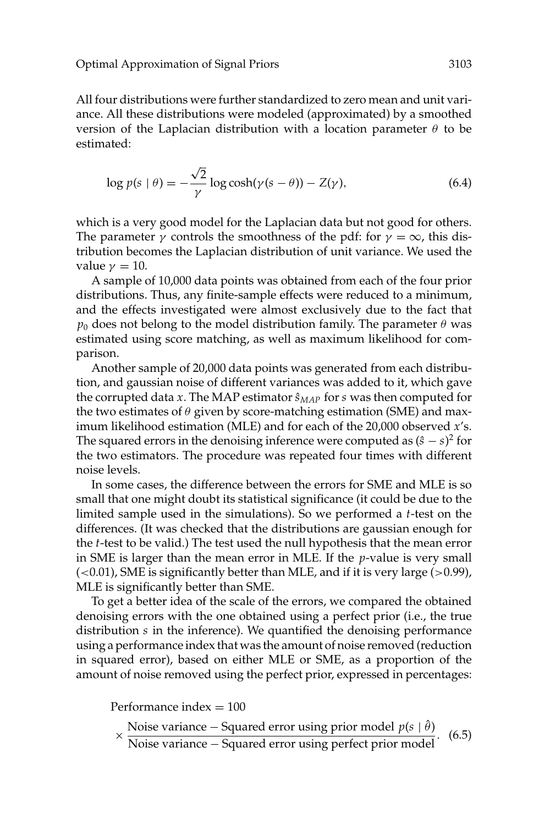All four distributions were further standardized to zero mean and unit variance. All these distributions were modeled (approximated) by a smoothed version of the Laplacian distribution with a location parameter  $\theta$  to be estimated:

$$
\log p(s \mid \theta) = -\frac{\sqrt{2}}{\gamma} \log \cosh(\gamma(s - \theta)) - Z(\gamma),\tag{6.4}
$$

which is a very good model for the Laplacian data but not good for others. The parameter  $\gamma$  controls the smoothness of the pdf: for  $\gamma = \infty$ , this distribution becomes the Laplacian distribution of unit variance. We used the value  $\gamma = 10$ .

A sample of 10,000 data points was obtained from each of the four prior distributions. Thus, any finite-sample effects were reduced to a minimum, and the effects investigated were almost exclusively due to the fact that  $p_0$  does not belong to the model distribution family. The parameter  $\theta$  was estimated using score matching, as well as maximum likelihood for comparison.

Another sample of 20,000 data points was generated from each distribution, and gaussian noise of different variances was added to it, which gave the corrupted data *x*. The MAP estimator  $\hat{s}_{MAP}$  for *s* was then computed for the two estimates of  $\theta$  given by score-matching estimation (SME) and maximum likelihood estimation (MLE) and for each of the 20,000 observed *x*'s. The squared errors in the denoising inference were computed as  $(\hat{s} - s)^2$  for the two estimators. The procedure was repeated four times with different noise levels.

In some cases, the difference between the errors for SME and MLE is so small that one might doubt its statistical significance (it could be due to the limited sample used in the simulations). So we performed a *t*-test on the differences. (It was checked that the distributions are gaussian enough for the *t*-test to be valid.) The test used the null hypothesis that the mean error in SME is larger than the mean error in MLE. If the *p*-value is very small  $(<0.01$ ), SME is significantly better than MLE, and if it is very large  $(>0.99)$ , MLE is significantly better than SME.

To get a better idea of the scale of the errors, we compared the obtained denoising errors with the one obtained using a perfect prior (i.e., the true distribution *s* in the inference). We quantified the denoising performance using a performance index that was the amount of noise removed (reduction in squared error), based on either MLE or SME, as a proportion of the amount of noise removed using the perfect prior, expressed in percentages:

Performance index  $= 100$ 

$$
\times \frac{\text{Noise variance} - \text{Squared error using prior model } p(s | \hat{\theta})}{\text{Noise variance} - \text{Squared error using perfect prior model}}.
$$
 (6.5)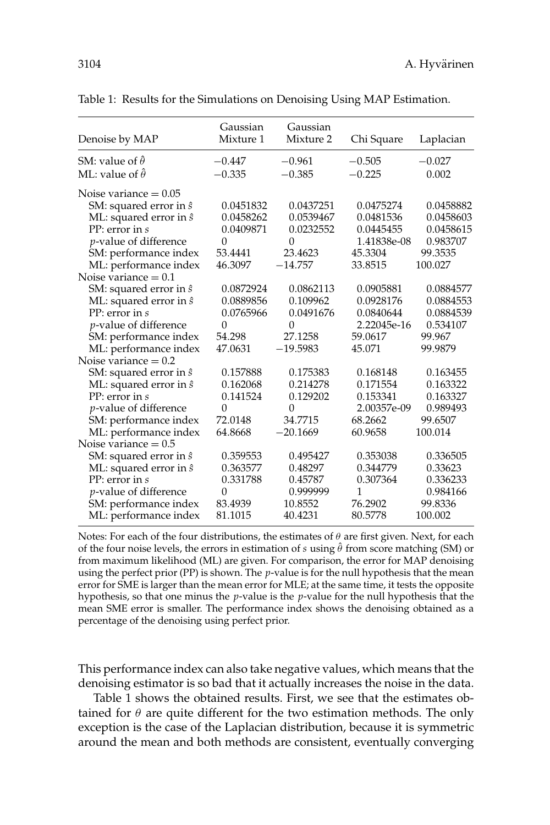3104 A. Hyvarinen ¨

| Denoise by MAP                 | Gaussian<br>Mixture 1 | Gaussian<br>Mixture 2 | Chi Square  | Laplacian |
|--------------------------------|-----------------------|-----------------------|-------------|-----------|
| SM: value of $\hat{\theta}$    | $-0.447$              | $-0.961$              | $-0.505$    | $-0.027$  |
| ML: value of $\hat{\theta}$    | $-0.335$              | $-0.385$              | $-0.225$    | 0.002     |
| Noise variance $= 0.05$        |                       |                       |             |           |
| SM: squared error in $\hat{s}$ | 0.0451832             | 0.0437251             | 0.0475274   | 0.0458882 |
| ML: squared error in $\hat{s}$ | 0.0458262             | 0.0539467             | 0.0481536   | 0.0458603 |
| PP: error in s                 | 0.0409871             | 0.0232552             | 0.0445455   | 0.0458615 |
| <i>p</i> -value of difference  | $\Omega$              | $\Omega$              | 1.41838e-08 | 0.983707  |
| SM: performance index          | 53.4441               | 23.4623               | 45.3304     | 99.3535   |
| ML: performance index          | 46.3097               | $-14.757$             | 33.8515     | 100.027   |
| Noise variance $= 0.1$         |                       |                       |             |           |
| SM: squared error in $\hat{s}$ | 0.0872924             | 0.0862113             | 0.0905881   | 0.0884577 |
| ML: squared error in $\hat{s}$ | 0.0889856             | 0.109962              | 0.0928176   | 0.0884553 |
| PP: error in s                 | 0.0765966             | 0.0491676             | 0.0840644   | 0.0884539 |
| p-value of difference          | $\Omega$              | $\theta$              | 2.22045e-16 | 0.534107  |
| SM: performance index          | 54.298                | 27.1258               | 59.0617     | 99.967    |
| ML: performance index          | 47.0631               | $-19.5983$            | 45.071      | 99.9879   |
| Noise variance $= 0.2$         |                       |                       |             |           |
| SM: squared error in $\hat{s}$ | 0.157888              | 0.175383              | 0.168148    | 0.163455  |
| ML: squared error in $\hat{s}$ | 0.162068              | 0.214278              | 0.171554    | 0.163322  |
| PP: error in s                 | 0.141524              | 0.129202              | 0.153341    | 0.163327  |
| <i>p</i> -value of difference  | $\overline{0}$        | $\mathbf{0}$          | 2.00357e-09 | 0.989493  |
| SM: performance index          | 72.0148               | 34.7715               | 68.2662     | 99.6507   |
| ML: performance index          | 64.8668               | $-20.1669$            | 60.9658     | 100.014   |
| Noise variance $= 0.5$         |                       |                       |             |           |
| SM: squared error in $\hat{s}$ | 0.359553              | 0.495427              | 0.353038    | 0.336505  |
| ML: squared error in $\hat{s}$ | 0.363577              | 0.48297               | 0.344779    | 0.33623   |
| PP: error in s                 | 0.331788              | 0.45787               | 0.307364    | 0.336233  |
| <i>p</i> -value of difference  | $\overline{0}$        | 0.999999              | 1           | 0.984166  |
| SM: performance index          | 83.4939               | 10.8552               | 76.2902     | 99.8336   |
| ML: performance index          | 81.1015               | 40.4231               | 80.5778     | 100.002   |

Table 1: Results for the Simulations on Denoising Using MAP Estimation.

Notes: For each of the four distributions, the estimates of  $\theta$  are first given. Next, for each of the four noise levels, the errors in estimation of *s* using θˆ from score matching (SM) or from maximum likelihood (ML) are given. For comparison, the error for MAP denoising using the perfect prior (PP) is shown. The *p*-value is for the null hypothesis that the mean error for SME is larger than the mean error for MLE; at the same time, it tests the opposite hypothesis, so that one minus the *p*-value is the *p*-value for the null hypothesis that the mean SME error is smaller. The performance index shows the denoising obtained as a percentage of the denoising using perfect prior.

This performance index can also take negative values, which means that the denoising estimator is so bad that it actually increases the noise in the data.

Table 1 shows the obtained results. First, we see that the estimates obtained for  $\theta$  are quite different for the two estimation methods. The only exception is the case of the Laplacian distribution, because it is symmetric around the mean and both methods are consistent, eventually converging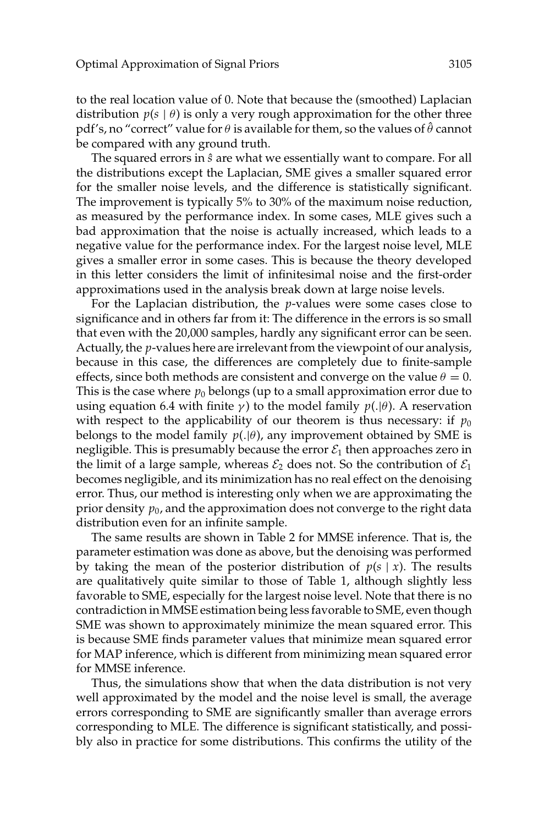to the real location value of 0. Note that because the (smoothed) Laplacian distribution  $p(s | \theta)$  is only a very rough approximation for the other three pdf's, no "correct" value for  $\theta$  is available for them, so the values of  $\theta$  cannot be compared with any ground truth.

The squared errors in  $\hat{s}$  are what we essentially want to compare. For all the distributions except the Laplacian, SME gives a smaller squared error for the smaller noise levels, and the difference is statistically significant. The improvement is typically 5% to 30% of the maximum noise reduction, as measured by the performance index. In some cases, MLE gives such a bad approximation that the noise is actually increased, which leads to a negative value for the performance index. For the largest noise level, MLE gives a smaller error in some cases. This is because the theory developed in this letter considers the limit of infinitesimal noise and the first-order approximations used in the analysis break down at large noise levels.

For the Laplacian distribution, the *p*-values were some cases close to significance and in others far from it: The difference in the errors is so small that even with the 20,000 samples, hardly any significant error can be seen. Actually, the *p*-values here are irrelevant from the viewpoint of our analysis, because in this case, the differences are completely due to finite-sample effects, since both methods are consistent and converge on the value  $\theta = 0$ . This is the case where  $p_0$  belongs (up to a small approximation error due to using equation 6.4 with finite  $\gamma$ ) to the model family  $p(.|\theta)$ . A reservation with respect to the applicability of our theorem is thus necessary: if  $p_0$ belongs to the model family  $p(.|\theta)$ , any improvement obtained by SME is negligible. This is presumably because the error  $\mathcal{E}_1$  then approaches zero in the limit of a large sample, whereas  $\mathcal{E}_2$  does not. So the contribution of  $\mathcal{E}_1$ becomes negligible, and its minimization has no real effect on the denoising error. Thus, our method is interesting only when we are approximating the prior density  $p_0$ , and the approximation does not converge to the right data distribution even for an infinite sample.

The same results are shown in Table 2 for MMSE inference. That is, the parameter estimation was done as above, but the denoising was performed by taking the mean of the posterior distribution of  $p(s | x)$ . The results are qualitatively quite similar to those of Table 1, although slightly less favorable to SME, especially for the largest noise level. Note that there is no contradiction in MMSE estimation being less favorable to SME, even though SME was shown to approximately minimize the mean squared error. This is because SME finds parameter values that minimize mean squared error for MAP inference, which is different from minimizing mean squared error for MMSE inference.

Thus, the simulations show that when the data distribution is not very well approximated by the model and the noise level is small, the average errors corresponding to SME are significantly smaller than average errors corresponding to MLE. The difference is significant statistically, and possibly also in practice for some distributions. This confirms the utility of the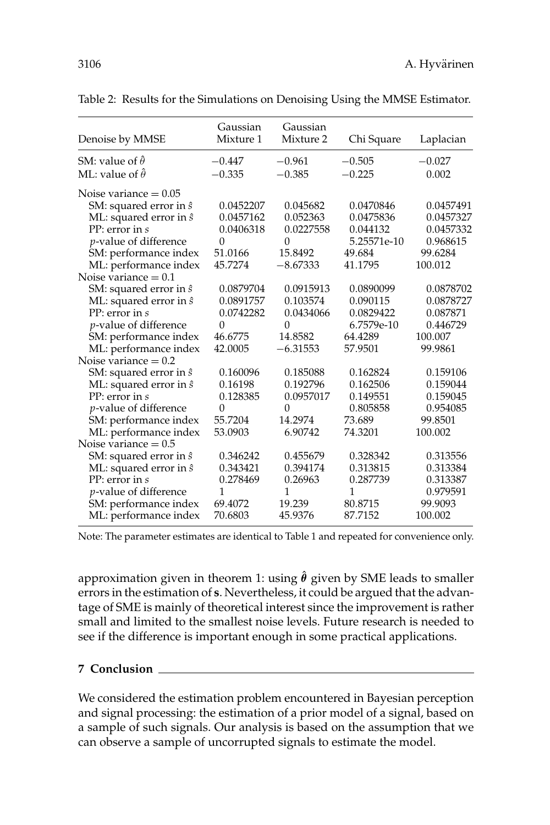| Denoise by MMSE                | Gaussian<br>Mixture 1 | Gaussian<br>Mixture 2 | Chi Square  | Laplacian |
|--------------------------------|-----------------------|-----------------------|-------------|-----------|
| SM: value of $\hat{\theta}$    | $-0.447$              | $-0.961$              | $-0.505$    | $-0.027$  |
| ML: value of $\hat{\theta}$    | $-0.335$              | $-0.385$              | $-0.225$    | 0.002     |
| Noise variance $= 0.05$        |                       |                       |             |           |
| SM: squared error in $\hat{s}$ | 0.0452207             | 0.045682              | 0.0470846   | 0.0457491 |
| ML: squared error in $\hat{s}$ | 0.0457162             | 0.052363              | 0.0475836   | 0.0457327 |
| $PP$ : error in $s$            | 0.0406318             | 0.0227558             | 0.044132    | 0.0457332 |
| <i>p</i> -value of difference  | $\Omega$              | 0                     | 5.25571e-10 | 0.968615  |
| SM: performance index          | 51.0166               | 15.8492               | 49.684      | 99.6284   |
| ML: performance index          | 45.7274               | $-8.67333$            | 41.1795     | 100.012   |
| Noise variance $= 0.1$         |                       |                       |             |           |
| SM: squared error in $\hat{s}$ | 0.0879704             | 0.0915913             | 0.0890099   | 0.0878702 |
| ML: squared error in $\hat{s}$ | 0.0891757             | 0.103574              | 0.090115    | 0.0878727 |
| PP: error in s                 | 0.0742282             | 0.0434066             | 0.0829422   | 0.087871  |
| p-value of difference          | $\Omega$              | 0                     | 6.7579e-10  | 0.446729  |
| SM: performance index          | 46.6775               | 14.8582               | 64.4289     | 100.007   |
| ML: performance index          | 42.0005               | $-6.31553$            | 57.9501     | 99.9861   |
| Noise variance $= 0.2$         |                       |                       |             |           |
| SM: squared error in $\hat{s}$ | 0.160096              | 0.185088              | 0.162824    | 0.159106  |
| ML: squared error in $\hat{s}$ | 0.16198               | 0.192796              | 0.162506    | 0.159044  |
| PP: error in s                 | 0.128385              | 0.0957017             | 0.149551    | 0.159045  |
| <i>p</i> -value of difference  | $\mathbf{0}$          | $\Omega$              | 0.805858    | 0.954085  |
| SM: performance index          | 55.7204               | 14.2974               | 73.689      | 99.8501   |
| ML: performance index          | 53.0903               | 6.90742               | 74.3201     | 100.002   |
| Noise variance $= 0.5$         |                       |                       |             |           |
| SM: squared error in $\hat{s}$ | 0.346242              | 0.455679              | 0.328342    | 0.313556  |
| ML: squared error in $\hat{s}$ | 0.343421              | 0.394174              | 0.313815    | 0.313384  |
| PP: error in s                 | 0.278469              | 0.26963               | 0.287739    | 0.313387  |
| <i>p</i> -value of difference  | 1                     | 1                     | 1           | 0.979591  |
| SM: performance index          | 69.4072               | 19.239                | 80.8715     | 99.9093   |
| ML: performance index          | 70.6803               | 45.9376               | 87.7152     | 100.002   |

Table 2: Results for the Simulations on Denoising Using the MMSE Estimator.

Note: The parameter estimates are identical to Table 1 and repeated for convenience only.

approximation given in theorem 1: using  $\hat{\theta}$  given by SME leads to smaller errors in the estimation of **s**. Nevertheless, it could be argued that the advantage of SME is mainly of theoretical interest since the improvement is rather small and limited to the smallest noise levels. Future research is needed to see if the difference is important enough in some practical applications.

## **7 Conclusion**

We considered the estimation problem encountered in Bayesian perception and signal processing: the estimation of a prior model of a signal, based on a sample of such signals. Our analysis is based on the assumption that we can observe a sample of uncorrupted signals to estimate the model.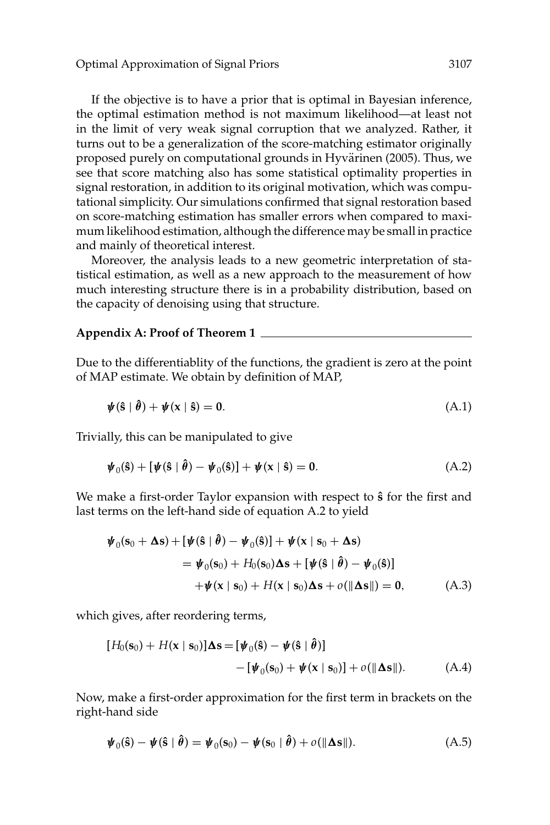If the objective is to have a prior that is optimal in Bayesian inference, the optimal estimation method is not maximum likelihood—at least not in the limit of very weak signal corruption that we analyzed. Rather, it turns out to be a generalization of the score-matching estimator originally proposed purely on computational grounds in Hyvärinen (2005). Thus, we see that score matching also has some statistical optimality properties in signal restoration, in addition to its original motivation, which was computational simplicity. Our simulations confirmed that signal restoration based on score-matching estimation has smaller errors when compared to maximum likelihood estimation, although the difference may be small in practice and mainly of theoretical interest.

Moreover, the analysis leads to a new geometric interpretation of statistical estimation, as well as a new approach to the measurement of how much interesting structure there is in a probability distribution, based on the capacity of denoising using that structure.

# **Appendix A: Proof of Theorem 1**

Due to the differentiablity of the functions, the gradient is zero at the point of MAP estimate. We obtain by definition of MAP,

$$
\psi(\hat{\mathbf{s}} \mid \hat{\boldsymbol{\theta}}) + \psi(\mathbf{x} \mid \hat{\mathbf{s}}) = 0. \tag{A.1}
$$

Trivially, this can be manipulated to give

$$
\boldsymbol{\psi}_0(\hat{\mathbf{s}}) + [\boldsymbol{\psi}(\hat{\mathbf{s}} \mid \hat{\boldsymbol{\theta}}) - \boldsymbol{\psi}_0(\hat{\mathbf{s}})] + \boldsymbol{\psi}(\mathbf{x} \mid \hat{\mathbf{s}}) = \mathbf{0}.
$$
 (A.2)

We make a first-order Taylor expansion with respect to **sˆ** for the first and last terms on the left-hand side of equation A.2 to yield

$$
\boldsymbol{\psi}_0(\mathbf{s}_0 + \boldsymbol{\Delta s}) + [\boldsymbol{\psi}(\hat{\mathbf{s}} \mid \hat{\boldsymbol{\theta}}) - \boldsymbol{\psi}_0(\hat{\mathbf{s}})] + \boldsymbol{\psi}(\mathbf{x} \mid \mathbf{s}_0 + \boldsymbol{\Delta s})
$$
  
\n
$$
= \boldsymbol{\psi}_0(\mathbf{s}_0) + H_0(\mathbf{s}_0)\boldsymbol{\Delta s} + [\boldsymbol{\psi}(\hat{\mathbf{s}} \mid \hat{\boldsymbol{\theta}}) - \boldsymbol{\psi}_0(\hat{\mathbf{s}})]
$$
  
\n
$$
+ \boldsymbol{\psi}(\mathbf{x} \mid \mathbf{s}_0) + H(\mathbf{x} \mid \mathbf{s}_0)\boldsymbol{\Delta s} + o(\|\boldsymbol{\Delta s}\|) = \mathbf{0}, \tag{A.3}
$$

which gives, after reordering terms,

$$
[H_0(\mathbf{s}_0) + H(\mathbf{x} \mid \mathbf{s}_0)]\Delta \mathbf{s} = [\boldsymbol{\psi}_0(\hat{\mathbf{s}}) - \boldsymbol{\psi}(\hat{\mathbf{s}} \mid \hat{\boldsymbol{\theta}})]
$$
  
 
$$
- [\boldsymbol{\psi}_0(\mathbf{s}_0) + \boldsymbol{\psi}(\mathbf{x} \mid \mathbf{s}_0)] + o(\|\Delta \mathbf{s}\|). \tag{A.4}
$$

Now, make a first-order approximation for the first term in brackets on the right-hand side

$$
\boldsymbol{\psi}_0(\hat{\mathbf{s}}) - \boldsymbol{\psi}(\hat{\mathbf{s}} \mid \hat{\boldsymbol{\theta}}) = \boldsymbol{\psi}_0(\mathbf{s}_0) - \boldsymbol{\psi}(\mathbf{s}_0 \mid \hat{\boldsymbol{\theta}}) + o(\|\boldsymbol{\Delta}\mathbf{s}\|). \tag{A.5}
$$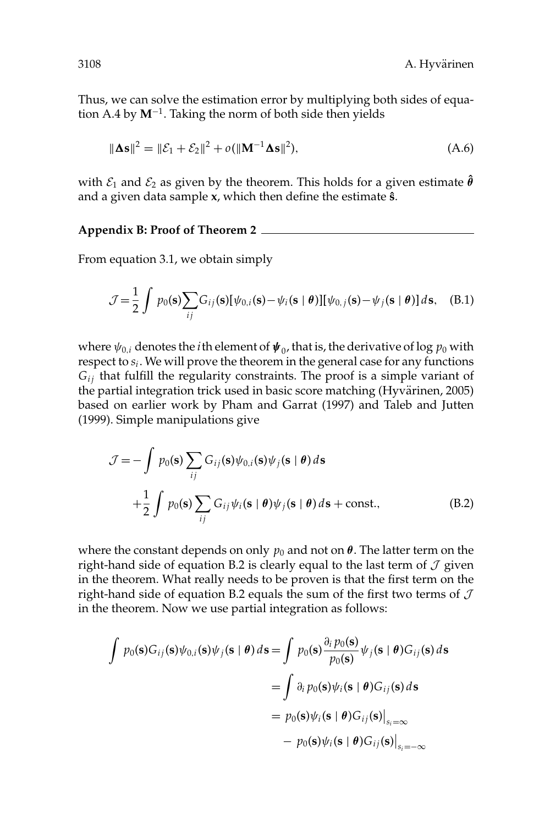Thus, we can solve the estimation error by multiplying both sides of equation A.4 by **M**<sup>−</sup>1. Taking the norm of both side then yields

$$
\|\mathbf{\Delta s}\|^2 = \|\mathcal{E}_1 + \mathcal{E}_2\|^2 + o(\|\mathbf{M}^{-1}\mathbf{\Delta s}\|^2),\tag{A.6}
$$

with  $\mathcal{E}_1$  and  $\mathcal{E}_2$  as given by the theorem. This holds for a given estimate  $\hat{\boldsymbol{\theta}}$ and a given data sample **x**, which then define the estimate **sˆ**.

**Appendix B: Proof of Theorem 2**

From equation 3.1, we obtain simply

$$
\mathcal{J} = \frac{1}{2} \int p_0(\mathbf{s}) \sum_{ij} G_{ij}(\mathbf{s}) [\psi_{0,i}(\mathbf{s}) - \psi_i(\mathbf{s} \mid \boldsymbol{\theta})] [\psi_{0,j}(\mathbf{s}) - \psi_j(\mathbf{s} \mid \boldsymbol{\theta})] d\mathbf{s}, \quad \text{(B.1)}
$$

where  $\psi_{0,i}$  denotes the *i*th element of  $\psi_0$ , that is, the derivative of log  $p_0$  with respect to  $s_i$ . We will prove the theorem in the general case for any functions *Gi j* that fulfill the regularity constraints. The proof is a simple variant of the partial integration trick used in basic score matching (Hyvärinen, 2005) based on earlier work by Pham and Garrat (1997) and Taleb and Jutten (1999). Simple manipulations give

$$
\mathcal{J} = -\int p_0(\mathbf{s}) \sum_{ij} G_{ij}(\mathbf{s}) \psi_{0,i}(\mathbf{s}) \psi_j(\mathbf{s} \mid \boldsymbol{\theta}) d\mathbf{s}
$$
  
 
$$
+ \frac{1}{2} \int p_0(\mathbf{s}) \sum_{ij} G_{ij} \psi_i(\mathbf{s} \mid \boldsymbol{\theta}) \psi_j(\mathbf{s} \mid \boldsymbol{\theta}) d\mathbf{s} + \text{const.}, \tag{B.2}
$$

where the constant depends on only  $p_0$  and not on  $\theta$ . The latter term on the right-hand side of equation B.2 is clearly equal to the last term of  $\mathcal J$  given in the theorem. What really needs to be proven is that the first term on the right-hand side of equation B.2 equals the sum of the first two terms of  $\mathcal J$ in the theorem. Now we use partial integration as follows:

$$
\int p_0(\mathbf{s})G_{ij}(\mathbf{s})\psi_{0,i}(\mathbf{s})\psi_j(\mathbf{s} \mid \boldsymbol{\theta}) d\mathbf{s} = \int p_0(\mathbf{s}) \frac{\partial_i p_0(\mathbf{s})}{p_0(\mathbf{s})} \psi_j(\mathbf{s} \mid \boldsymbol{\theta}) G_{ij}(\mathbf{s}) d\mathbf{s}
$$
  
= 
$$
\int \partial_i p_0(\mathbf{s}) \psi_i(\mathbf{s} \mid \boldsymbol{\theta}) G_{ij}(\mathbf{s}) d\mathbf{s}
$$
  
= 
$$
p_0(\mathbf{s}) \psi_i(\mathbf{s} \mid \boldsymbol{\theta}) G_{ij}(\mathbf{s}) \Big|_{s_i=\infty}
$$
  
- 
$$
p_0(\mathbf{s}) \psi_i(\mathbf{s} \mid \boldsymbol{\theta}) G_{ij}(\mathbf{s}) \Big|_{s_i=-\infty}
$$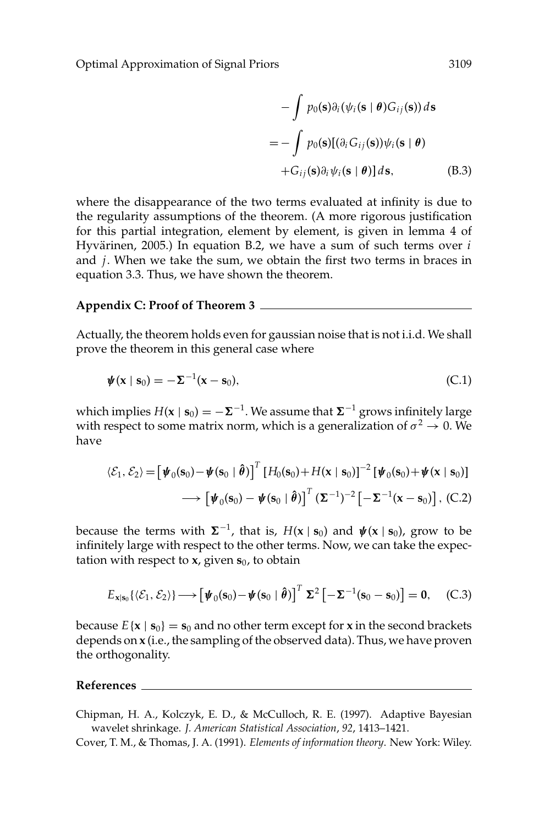Optimal Approximation of Signal Priors 3109

$$
-\int p_0(\mathbf{s})\partial_i(\psi_i(\mathbf{s} \mid \boldsymbol{\theta})G_{ij}(\mathbf{s})) d\mathbf{s}
$$
  
= 
$$
-\int p_0(\mathbf{s})[(\partial_i G_{ij}(\mathbf{s}))\psi_i(\mathbf{s} \mid \boldsymbol{\theta})
$$
  
+
$$
G_{ij}(\mathbf{s})\partial_i \psi_i(\mathbf{s} \mid \boldsymbol{\theta})] d\mathbf{s},
$$
(B.3)

where the disappearance of the two terms evaluated at infinity is due to the regularity assumptions of the theorem. (A more rigorous justification for this partial integration, element by element, is given in lemma 4 of Hyvärinen, 2005.) In equation B.2, we have a sum of such terms over *i* and *j*. When we take the sum, we obtain the first two terms in braces in equation 3.3. Thus, we have shown the theorem.

#### **Appendix C: Proof of Theorem 3**

Actually, the theorem holds even for gaussian noise that is not i.i.d. We shall prove the theorem in this general case where

$$
\boldsymbol{\psi}(\mathbf{x} \mid \mathbf{s}_0) = -\boldsymbol{\Sigma}^{-1}(\mathbf{x} - \mathbf{s}_0),\tag{C.1}
$$

which implies  $H(x | s_0) = -\Sigma^{-1}$ . We assume that  $\Sigma^{-1}$  grows infinitely large with respect to some matrix norm, which is a generalization of  $\sigma^2 \to 0$ . We have

$$
\langle \mathcal{E}_1, \mathcal{E}_2 \rangle = \left[ \boldsymbol{\psi}_0(\mathbf{s}_0) - \boldsymbol{\psi}(\mathbf{s}_0 \mid \boldsymbol{\hat{\theta}}) \right]^T \left[ H_0(\mathbf{s}_0) + H(\mathbf{x} \mid \mathbf{s}_0) \right]^{-2} \left[ \boldsymbol{\psi}_0(\mathbf{s}_0) + \boldsymbol{\psi}(\mathbf{x} \mid \mathbf{s}_0) \right]
$$

$$
\longrightarrow \left[ \boldsymbol{\psi}_0(\mathbf{s}_0) - \boldsymbol{\psi}(\mathbf{s}_0 \mid \boldsymbol{\hat{\theta}}) \right]^T (\boldsymbol{\Sigma}^{-1})^{-2} \left[ -\boldsymbol{\Sigma}^{-1}(\mathbf{x} - \mathbf{s}_0) \right], \text{(C.2)}
$$

because the terms with  $\Sigma^{-1}$ , that is,  $H(\mathbf{x} \mid \mathbf{s}_0)$  and  $\boldsymbol{\psi}(\mathbf{x} \mid \mathbf{s}_0)$ , grow to be infinitely large with respect to the other terms. Now, we can take the expectation with respect to  $x$ , given  $s_0$ , to obtain

$$
E_{\mathbf{x}|\mathbf{s}_0}\{(\mathcal{E}_1,\mathcal{E}_2)\}\longrightarrow\left[\boldsymbol{\psi}_0(\mathbf{s}_0)-\boldsymbol{\psi}(\mathbf{s}_0\mid\boldsymbol{\hat{\theta}})\right]^T\boldsymbol{\Sigma}^2\left[-\boldsymbol{\Sigma}^{-1}(\mathbf{s}_0-\mathbf{s}_0)\right]=\mathbf{0},\quad\text{(C.3)}
$$

because  $E\{\mathbf{x} \mid \mathbf{s}_0\} = \mathbf{s}_0$  and no other term except for **x** in the second brackets depends on **x** (i.e., the sampling of the observed data). Thus, we have proven the orthogonality.

#### **References**

Chipman, H. A., Kolczyk, E. D., & McCulloch, R. E. (1997). Adaptive Bayesian wavelet shrinkage. *J. American Statistical Association*, *92*, 1413–1421.

Cover, T. M., & Thomas, J. A. (1991). *Elements of information theory*. New York: Wiley.